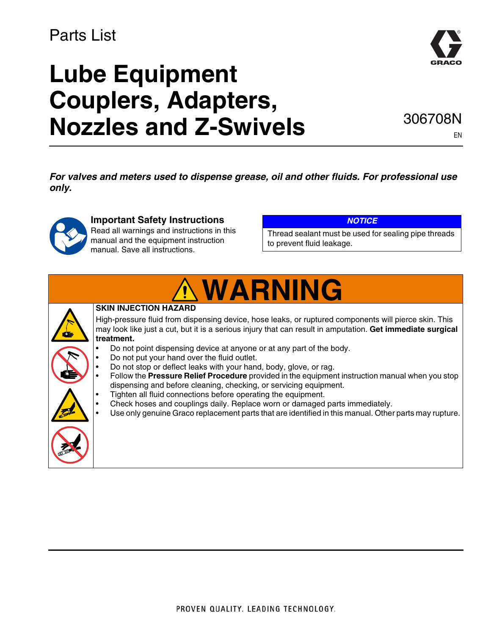### Parts List

# **Lube Equipment Couplers, Adapters, Nozzles and Z-Swivels**



306708N

EN

*For valves and meters used to dispense grease, oil and other fluids. For professional use only.*



### **Important Safety Instructions**

Read all warnings and instructions in this manual and the equipment instruction manual. Save all instructions.

#### *NOTICE*

Thread sealant must be used for sealing pipe threads to prevent fluid leakage.

# **WARNING**

#### **SKIN INJECTION HAZARD**

High-pressure fluid from dispensing device, hose leaks, or ruptured components will pierce skin. This may look like just a cut, but it is a serious injury that can result in amputation. **Get immediate surgical treatment.**

- Do not point dispensing device at anyone or at any part of the body.
- Do not put your hand over the fluid outlet.
- Do not stop or deflect leaks with your hand, body, glove, or rag.
	- Follow the **Pressure Relief Procedure** provided in the equipment instruction manual when you stop dispensing and before cleaning, checking, or servicing equipment.
	- Tighten all fluid connections before operating the equipment.
- Check hoses and couplings daily. Replace worn or damaged parts immediately.
- Use only genuine Graco replacement parts that are identified in this manual. Other parts may rupture.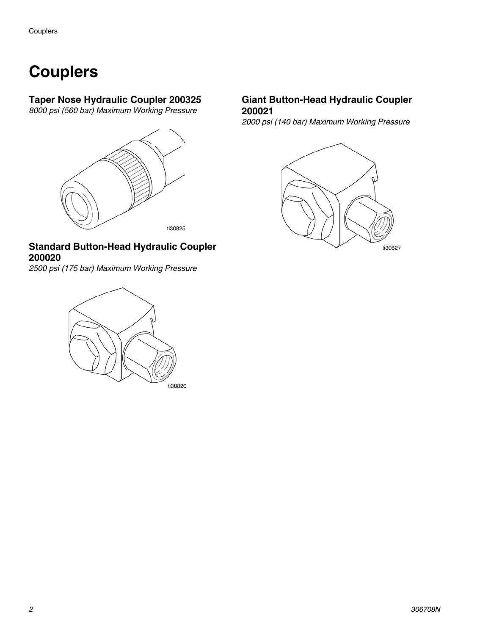## **Couplers**

#### **Taper Nose Hydraulic Coupler 200325**

*8000 psi (560 bar) Maximum Working Pressure*



#### **Standard Button-Head Hydraulic Coupler 200020**

*2500 psi (175 bar) Maximum Working Pressure*



#### **Giant Button-Head Hydraulic Coupler 200021**

*2000 psi (140 bar) Maximum Working Pressure*

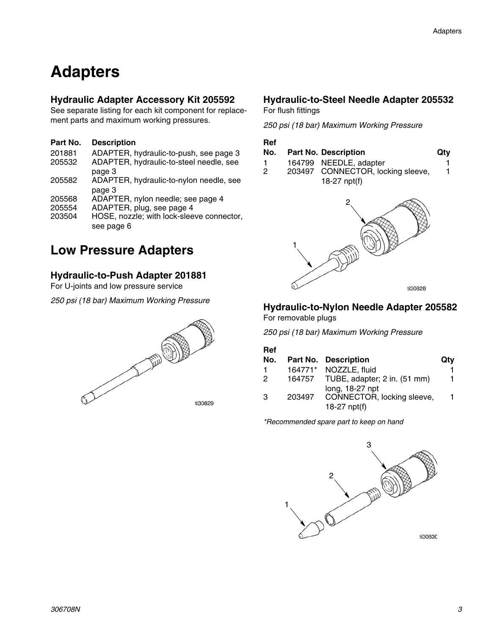### **Adapters**

#### **Hydraulic Adapter Accessory Kit 205592**

See separate listing for each kit component for replacement parts and maximum working pressures.

#### **Part No. Description**

| 201881 | ADAPTER, hydraulic-to-push, see page 3    |
|--------|-------------------------------------------|
| 205532 | ADAPTER, hydraulic-to-steel needle, see   |
|        | page 3                                    |
| 205582 | ADAPTER, hydraulic-to-nylon needle, see   |
|        | page 3                                    |
| 205568 | ADAPTER, nylon needle; see page 4         |
| 205554 | ADAPTER, plug, see page 4                 |
| 203504 | HOSE, nozzle; with lock-sleeve connector, |
|        | see page 6                                |
|        |                                           |

### **Low Pressure Adapters**

#### <span id="page-2-0"></span>**Hydraulic-to-Push Adapter 201881**

For U-joints and low pressure service

*250 psi (18 bar) Maximum Working Pressure*



#### <span id="page-2-1"></span>**Hydraulic-to-Steel Needle Adapter 205532**

For flush fittings

*250 psi (18 bar) Maximum Working Pressure*

#### **Ref**

- **No. Part No. Description Qty**
- 1 164799 NEEDLE, adapter 1<br>2 203497 CONNECTOR, locking sleeve. 1 203497 CONNECTOR, locking sleeve, 18-27 npt(f) 1



#### <span id="page-2-2"></span>**Hydraulic-to-Nylon Needle Adapter 205582**

For removable plugs

*250 psi (18 bar) Maximum Working Pressure*

| No.           |        | <b>Part No. Description</b>         | Qty |
|---------------|--------|-------------------------------------|-----|
| 1.            |        | 164771* NOZZLE, fluid               |     |
| 2             |        | 164757 TUBE, adapter; 2 in. (51 mm) | 1.  |
|               |        | long, 18-27 npt                     |     |
| $\mathcal{B}$ | 203497 | CONNECTOR, locking sleeve,          |     |
|               |        | 18-27 $npt(f)$                      |     |

*\*Recommended spare part to keep on hand*

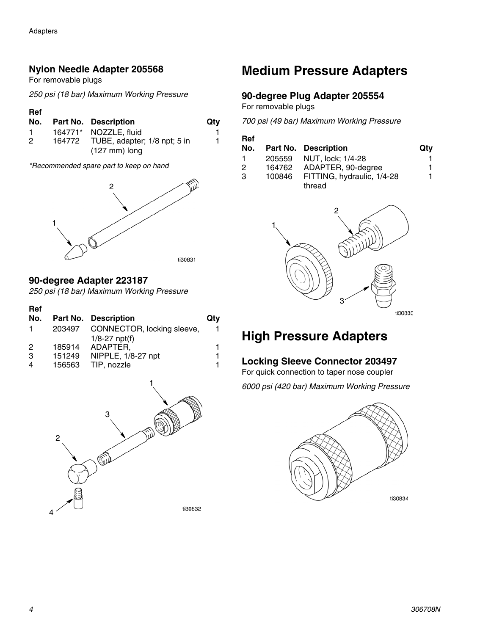#### <span id="page-3-0"></span>**Nylon Needle Adapter 205568**

For removable plugs

*250 psi (18 bar) Maximum Working Pressure*

#### **Ref**

| No. | <b>Part No. Description</b>         | Qtv |
|-----|-------------------------------------|-----|
| 1.  | 164771* NOZZLE, fluid               |     |
| 2   | 164772 TUBE, adapter; 1/8 npt; 5 in |     |
|     | $(127 \text{ mm})$ long             |     |

*\*Recommended spare part to keep on hand*



#### **90-degree Adapter 223187**

*250 psi (18 bar) Maximum Working Pressure*

| Ref |        |                            |     |
|-----|--------|----------------------------|-----|
| No. |        | Part No. Description       | Qty |
| 1   | 203497 | CONNECTOR, locking sleeve, |     |
|     |        | $1/8 - 27$ npt(f)          |     |
| 2   | 185914 | ADAPTER,                   |     |
| 3   | 151249 | NIPPLE, 1/8-27 npt         |     |
| 4   | 156563 | TIP, nozzle                |     |



### **Medium Pressure Adapters**

#### <span id="page-3-1"></span>**90-degree Plug Adapter 205554**

For removable plugs

*700 psi (49 bar) Maximum Working Pressure*

| Ref |        |                             |     |
|-----|--------|-----------------------------|-----|
| No. |        | <b>Part No. Description</b> | Qty |
|     | 205559 | NUT. lock: 1/4-28           |     |
| 2   | 164762 | ADAPTER, 90-degree          | 1.  |
| -3  | 100846 | FITTING, hydraulic, 1/4-28  |     |
|     |        | thread                      |     |



### **High Pressure Adapters**

#### **Locking Sleeve Connector 203497**

For quick connection to taper nose coupler

*6000 psi (420 bar) Maximum Working Pressure*

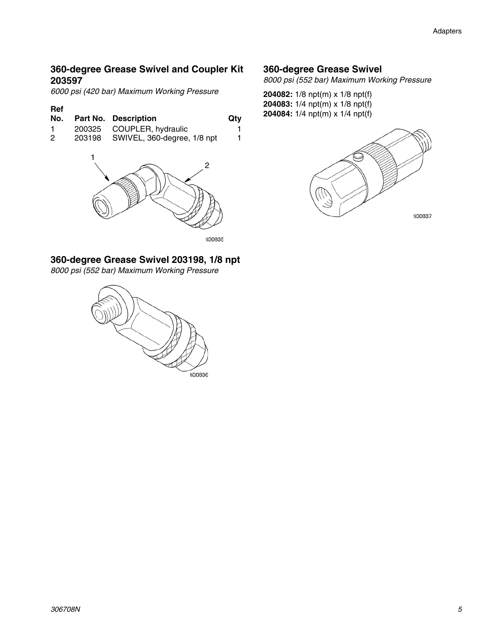#### **360-degree Grease Swivel and Coupler Kit 203597**

*6000 psi (420 bar) Maximum Working Pressure*

| No. | Part No. Description               | Qtv |
|-----|------------------------------------|-----|
|     | 200325 COUPLER, hydraulic          |     |
| 2   | 203198 SWIVEL, 360-degree, 1/8 npt |     |
|     |                                    |     |
|     |                                    |     |
|     |                                    |     |



ti30835

### **360-degree Grease Swivel 203198, 1/8 npt**

*8000 psi (552 bar) Maximum Working Pressure*



#### **360-degree Grease Swivel**

*8000 psi (552 bar) Maximum Working Pressure*

**204082:** 1/8 npt(m) x 1/8 npt(f) **204083:** 1/4 npt(m) x 1/8 npt(f) **204083:** 1/4 npt(iii) x 1/6 npt(i)<br>**No. Best Ne. Beserved by City 204084:** 1/4 npt(m) x 1/4 npt(f)

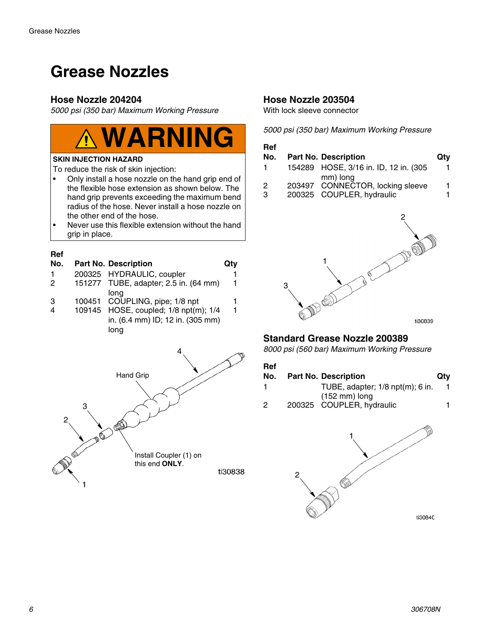## **Grease Nozzles**

#### **Hose Nozzle 204204**

*5000 psi (350 bar) Maximum Working Pressure*



#### **SKIN INJECTION HAZARD**

To reduce the risk of skin injection:

- Only install a hose nozzle on the hand grip end of the flexible hose extension as shown below. The hand grip prevents exceeding the maximum bend radius of the hose. Never install a hose nozzle on the other end of the hose.
- Never use this flexible extension without the hand grip in place.

#### **Ref**

| No.           | <b>Part No. Description</b>           | Qty |
|---------------|---------------------------------------|-----|
|               | 200325 HYDRAULIC, coupler             |     |
| $\mathcal{P}$ | 151277 TUBE, adapter; 2.5 in. (64 mm) | 1   |
|               | long                                  |     |
| 3             | 100451 COUPLING, pipe; 1/8 npt        |     |
|               | 109145 HOSE, coupled; 1/8 npt(m); 1/4 |     |

in. (6.4 mm) ID; 12 in. (305 mm) long



#### <span id="page-5-0"></span>**Hose Nozzle 203504**

With lock sleeve connector

*5000 psi (350 bar) Maximum Working Pressure*

#### **Ref No.** Part No. Description **Qty** 1 154289 HOSE, 3/16 in. ID, 12 in. (305 mm) long 1 2 203497 CONNECTOR, locking sleeve 1 3 200325 COUPLER, hydraulic 1



#### **Standard Grease Nozzle 200389**

*8000 psi (560 bar) Maximum Working Pressure*

| .<br>No. | <b>Part No. Description</b>            | Qtv |
|----------|----------------------------------------|-----|
|          | TUBE, adapter; $1/8$ npt $(m)$ ; 6 in. |     |
|          | $(152 \text{ mm})$ long                |     |
| - 2      | 200325 COUPLER, hydraulic              |     |

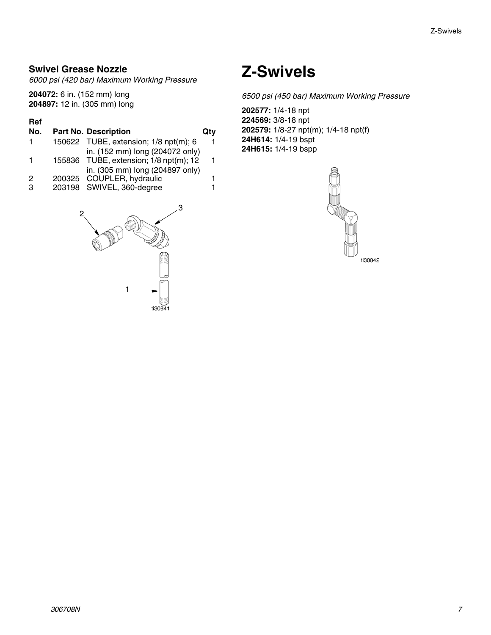#### **Swivel Grease Nozzle**

*6000 psi (420 bar) Maximum Working Pressure*

**204072:** 6 in. (152 mm) long **204897:** 12 in. (305 mm) long

#### **Ref**

### **No.** Part No. Description **Qty**

| in. (152 mm) long (204072 only) |                                                                                                                                           |
|---------------------------------|-------------------------------------------------------------------------------------------------------------------------------------------|
|                                 | 1.                                                                                                                                        |
| in. (305 mm) long (204897 only) |                                                                                                                                           |
|                                 |                                                                                                                                           |
|                                 |                                                                                                                                           |
|                                 | 150622 TUBE, extension; 1/8 npt(m); 6<br>155836 TUBE, extension; 1/8 npt(m); 12<br>200325 COUPLER, hydraulic<br>203198 SWIVEL, 360-degree |



## **Z-Swivels**

*6500 psi (450 bar) Maximum Working Pressure*

**202577:** 1/4-18 npt **224569:** 3/8-18 npt **202579:** 1/8-27 npt(m); 1/4-18 npt(f) **24H614:** 1/4-19 bspt **24H615:** 1/4-19 bspp